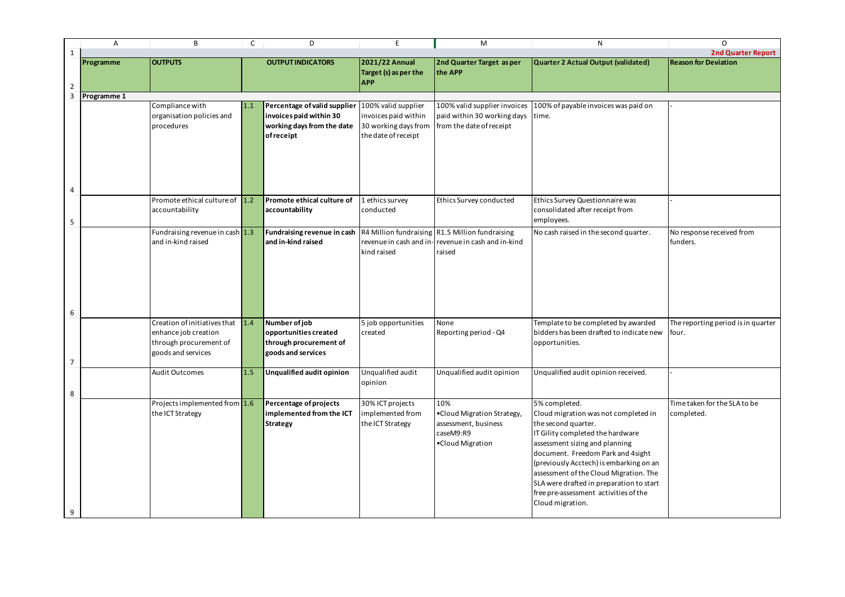|                | Α                  | B                                                                                                    | C   | D                                                                                                  | E                                                                                          | M                                                                                                               | N                                                                                                                                                                                                                                                                                                                                                                                      | O                                    |
|----------------|--------------------|------------------------------------------------------------------------------------------------------|-----|----------------------------------------------------------------------------------------------------|--------------------------------------------------------------------------------------------|-----------------------------------------------------------------------------------------------------------------|----------------------------------------------------------------------------------------------------------------------------------------------------------------------------------------------------------------------------------------------------------------------------------------------------------------------------------------------------------------------------------------|--------------------------------------|
|                |                    |                                                                                                      |     |                                                                                                    |                                                                                            |                                                                                                                 |                                                                                                                                                                                                                                                                                                                                                                                        | 2nd Qua                              |
|                | Programme          | <b>OUTPUTS</b>                                                                                       |     | <b>OUTPUT INDICATORS</b>                                                                           | 2021/22 Annual<br>Target (s) as per the<br><b>APP</b>                                      | 2nd Quarter Target as per<br>the APP                                                                            | Quarter 2 Actual Output (validated)                                                                                                                                                                                                                                                                                                                                                    | <b>Reason for Deviation</b>          |
| $\overline{2}$ |                    |                                                                                                      |     |                                                                                                    |                                                                                            |                                                                                                                 |                                                                                                                                                                                                                                                                                                                                                                                        |                                      |
| 3              | <b>Programme 1</b> |                                                                                                      |     |                                                                                                    |                                                                                            |                                                                                                                 |                                                                                                                                                                                                                                                                                                                                                                                        |                                      |
|                |                    | Compliance with<br>organisation policies and<br>procedures                                           | 1.1 | Percentage of valid supplier<br>invoices paid within 30<br>working days from the date<br>ofreceipt | 100% valid supplier<br>invoices paid within<br>30 working days from<br>the date of receipt | 100% valid supplier invoices<br>paid within 30 working days<br>from the date of receipt                         | 100% of payable invoices was paid on<br>time.                                                                                                                                                                                                                                                                                                                                          |                                      |
|                |                    |                                                                                                      |     |                                                                                                    |                                                                                            |                                                                                                                 |                                                                                                                                                                                                                                                                                                                                                                                        |                                      |
| 5              |                    | Promote ethical culture of 1.2<br>accountability                                                     |     | Promote ethical culture of<br>accountability                                                       | Lethics survey<br>conducted                                                                | Ethics Survey conducted                                                                                         | Ethics Survey Questionnaire was<br>consolidated after receipt from<br>employees.                                                                                                                                                                                                                                                                                                       |                                      |
|                |                    | Fundraising revenue in cash $1.3$<br>and in-kind raised                                              |     | <b>Fundraising revenue in cash</b><br>and in-kind raised                                           | kind raised                                                                                | R4 Million fundraising R1.5 Million fundraising<br>revenue in cash and in-revenue in cash and in-kind<br>raised | No cash raised in the second quarter.                                                                                                                                                                                                                                                                                                                                                  | No response received<br>funders.     |
| 6              |                    |                                                                                                      |     |                                                                                                    |                                                                                            |                                                                                                                 |                                                                                                                                                                                                                                                                                                                                                                                        |                                      |
| $\overline{7}$ |                    | Creation of initiatives that<br>enhance job creation<br>through procurement of<br>goods and services | 1.4 | Number of job<br>opportunities created<br>through procurement of<br>goods and services             | 5 job opportunities<br>created                                                             | None<br>Reporting period - Q4                                                                                   | Template to be completed by awarded<br>bidders has been drafted to indicate new<br>opportunities.                                                                                                                                                                                                                                                                                      | The reporting period<br>four.        |
|                |                    | <b>Audit Outcomes</b>                                                                                | 1.5 | <b>Unqualified audit opinion</b>                                                                   | Unqualified audit                                                                          | Unqualified audit opinion                                                                                       | Unqualified audit opinion received.                                                                                                                                                                                                                                                                                                                                                    |                                      |
| 8              |                    |                                                                                                      |     |                                                                                                    | opinion                                                                                    |                                                                                                                 |                                                                                                                                                                                                                                                                                                                                                                                        |                                      |
| 9              |                    | Projects implemented from $1.6$<br>the ICT Strategy                                                  |     | Percentage of projects<br>implemented from the ICT<br><b>Strategy</b>                              | 30% ICT projects<br>implemented from<br>the ICT Strategy                                   | 10%<br>.Cloud Migration Strategy<br>assessment, business<br>caseM9:R9<br>•Cloud Migration                       | 5% completed.<br>Cloud migration was not completed in<br>the second quarter.<br>IT Gility completed the hardware<br>assessment sizing and planning<br>document. Freedom Park and 4 sight<br>(previously Acctech) is embarking on an<br>assessment of the Cloud Migration. The<br>SLA were drafted in preparation to start<br>free pre-assessment activities of the<br>Cloud migration. | Time taken for the SL.<br>completed. |

| N                                                                                 | O                                          |
|-----------------------------------------------------------------------------------|--------------------------------------------|
|                                                                                   | 2nd Quarter Report                         |
| <b>Quarter 2 Actual Output (validated)</b>                                        | <b>Reason for Deviation</b>                |
|                                                                                   |                                            |
|                                                                                   |                                            |
| 100% of payable invoices was paid on                                              |                                            |
| time.                                                                             |                                            |
|                                                                                   |                                            |
|                                                                                   |                                            |
|                                                                                   |                                            |
|                                                                                   |                                            |
|                                                                                   |                                            |
| Ethics Survey Questionnaire was<br>consolidated after receipt from                |                                            |
| employees.                                                                        |                                            |
| No cash raised in the second quarter.                                             | No response received from<br>funders.      |
|                                                                                   |                                            |
|                                                                                   |                                            |
|                                                                                   |                                            |
|                                                                                   |                                            |
|                                                                                   |                                            |
| Template to be completed by awarded                                               | The reporting period is in quarter         |
| bidders has been drafted to indicate new<br>opportunities.                        | four.                                      |
|                                                                                   |                                            |
|                                                                                   |                                            |
| Unqualified audit opinion received.                                               |                                            |
|                                                                                   |                                            |
| 5% completed.<br>Cloud migration was not completed in                             | Time taken for the SLA to be<br>completed. |
| the second quarter.                                                               |                                            |
| IT Gility completed the hardware                                                  |                                            |
| assessment sizing and planning                                                    |                                            |
| document. Freedom Park and 4 sight                                                |                                            |
| (previously Acctech) is embarking on an<br>assessment of the Cloud Migration. The |                                            |
| SLA were drafted in preparation to start                                          |                                            |
| free pre-assessment activities of the                                             |                                            |
| Cloud migration.                                                                  |                                            |
|                                                                                   |                                            |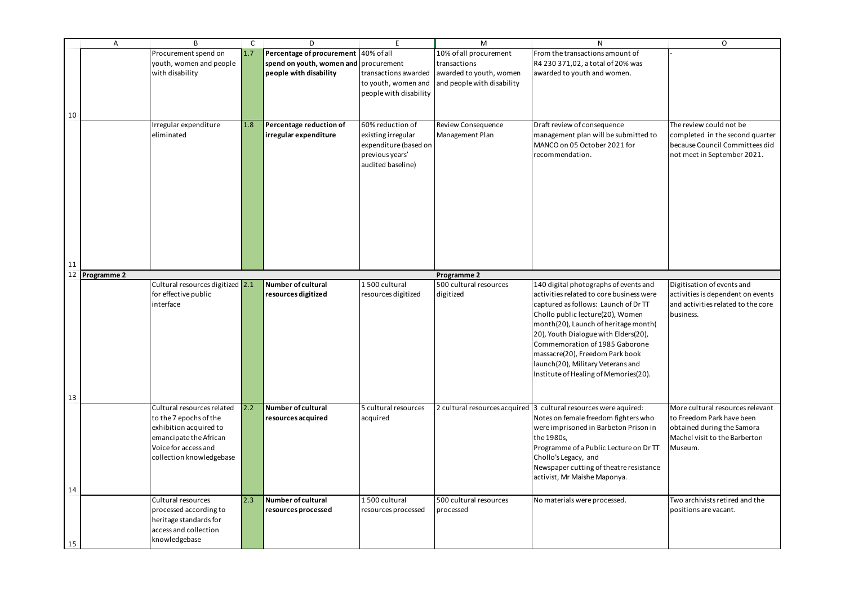|    | Α                  | B.                               | C   | D.                                    | F.                     | M                          | N                                                                   | $\circ$                            |
|----|--------------------|----------------------------------|-----|---------------------------------------|------------------------|----------------------------|---------------------------------------------------------------------|------------------------------------|
|    |                    | Procurement spend on             | 1.7 | Percentage of procurement 40% of all  |                        | 10% of all procurement     | From the transactions amount of                                     |                                    |
|    |                    | youth, women and people          |     | spend on youth, women and procurement |                        | transactions               | R4 230 371,02, a total of 20% was                                   |                                    |
|    |                    |                                  |     |                                       |                        |                            |                                                                     |                                    |
|    |                    | with disability                  |     | people with disability                | transactions awarded   | awarded to youth, women    | awarded to youth and women.                                         |                                    |
|    |                    |                                  |     |                                       | to youth, women and    | and people with disability |                                                                     |                                    |
|    |                    |                                  |     |                                       | people with disability |                            |                                                                     |                                    |
|    |                    |                                  |     |                                       |                        |                            |                                                                     |                                    |
| 10 |                    |                                  |     |                                       |                        |                            |                                                                     |                                    |
|    |                    |                                  |     |                                       |                        |                            |                                                                     | The review could not be            |
|    |                    | Irregular expenditure            | 1.8 | Percentage reduction of               | 60% reduction of       | <b>Review Consequence</b>  | Draft review of consequence                                         |                                    |
|    |                    | eliminated                       |     | irregular expenditure                 | existing irregular     | Management Plan            | management plan will be submitted to                                | completed in the second quarter    |
|    |                    |                                  |     |                                       | expenditure (based on  |                            | MANCO on 05 October 2021 for                                        | because Council Committees did     |
|    |                    |                                  |     |                                       | previous years'        |                            | recommendation.                                                     | not meet in September 2021.        |
|    |                    |                                  |     |                                       | audited baseline)      |                            |                                                                     |                                    |
|    |                    |                                  |     |                                       |                        |                            |                                                                     |                                    |
|    |                    |                                  |     |                                       |                        |                            |                                                                     |                                    |
|    |                    |                                  |     |                                       |                        |                            |                                                                     |                                    |
|    |                    |                                  |     |                                       |                        |                            |                                                                     |                                    |
|    |                    |                                  |     |                                       |                        |                            |                                                                     |                                    |
|    |                    |                                  |     |                                       |                        |                            |                                                                     |                                    |
|    |                    |                                  |     |                                       |                        |                            |                                                                     |                                    |
|    |                    |                                  |     |                                       |                        |                            |                                                                     |                                    |
|    |                    |                                  |     |                                       |                        |                            |                                                                     |                                    |
|    |                    |                                  |     |                                       |                        |                            |                                                                     |                                    |
| 11 |                    |                                  |     |                                       |                        |                            |                                                                     |                                    |
| 12 | <b>Programme 2</b> |                                  |     |                                       |                        | <b>Programme 2</b>         |                                                                     |                                    |
|    |                    | Cultural resources digitized 2.1 |     | Number of cultural                    | 1500 cultural          | 500 cultural resources     | 140 digital photographs of events and                               | Digitisation of events and         |
|    |                    |                                  |     |                                       |                        |                            |                                                                     |                                    |
|    |                    | for effective public             |     | resources digitized                   | resources digitized    | digitized                  | activities related to core business were                            | activities is dependent on events  |
|    |                    | interface                        |     |                                       |                        |                            | captured as follows: Launch of Dr TT                                | and activities related to the core |
|    |                    |                                  |     |                                       |                        |                            | Chollo public lecture(20), Women                                    | business.                          |
|    |                    |                                  |     |                                       |                        |                            | month(20), Launch of heritage month(                                |                                    |
|    |                    |                                  |     |                                       |                        |                            | 20), Youth Dialogue with Elders(20),                                |                                    |
|    |                    |                                  |     |                                       |                        |                            | Commemoration of 1985 Gaborone                                      |                                    |
|    |                    |                                  |     |                                       |                        |                            | massacre(20), Freedom Park book                                     |                                    |
|    |                    |                                  |     |                                       |                        |                            | launch(20), Military Veterans and                                   |                                    |
|    |                    |                                  |     |                                       |                        |                            | Institute of Healing of Memories(20).                               |                                    |
|    |                    |                                  |     |                                       |                        |                            |                                                                     |                                    |
|    |                    |                                  |     |                                       |                        |                            |                                                                     |                                    |
| 13 |                    |                                  |     |                                       |                        |                            |                                                                     |                                    |
|    |                    | Cultural resources related       | 2.2 | Number of cultural                    | 5 cultural resources   |                            | 2 cultural resources acquired $ 3$ cultural resources were aquired: | More cultural resources relevant   |
|    |                    | to the 7 epochs of the           |     | resources acquired                    | acquired               |                            | Notes on female freedom fighters who                                | to Freedom Park have been          |
|    |                    | exhibition acquired to           |     |                                       |                        |                            | were imprisoned in Barbeton Prison in                               | obtained during the Samora         |
|    |                    |                                  |     |                                       |                        |                            | the 1980s,                                                          | Machel visit to the Barberton      |
|    |                    | emancipate the African           |     |                                       |                        |                            |                                                                     |                                    |
|    |                    | Voice for access and             |     |                                       |                        |                            | Programme of a Public Lecture on Dr TT                              | Museum.                            |
|    |                    | collection knowledgebase         |     |                                       |                        |                            | Chollo's Legacy, and                                                |                                    |
|    |                    |                                  |     |                                       |                        |                            | Newspaper cutting of theatre resistance                             |                                    |
|    |                    |                                  |     |                                       |                        |                            | activist, Mr Maishe Maponya.                                        |                                    |
| 14 |                    |                                  |     |                                       |                        |                            |                                                                     |                                    |
|    |                    | Cultural resources               | 2.3 | Number of cultural                    | 1500 cultural          | 500 cultural resources     | No materials were processed.                                        | Two archivists retired and the     |
|    |                    |                                  |     |                                       |                        |                            |                                                                     |                                    |
|    |                    | processed according to           |     | resources processed                   | resources processed    | processed                  |                                                                     | positions are vacant.              |
|    |                    | heritage standards for           |     |                                       |                        |                            |                                                                     |                                    |
|    |                    | access and collection            |     |                                       |                        |                            |                                                                     |                                    |
|    |                    | knowledgebase                    |     |                                       |                        |                            |                                                                     |                                    |
| 15 |                    |                                  |     |                                       |                        |                            |                                                                     |                                    |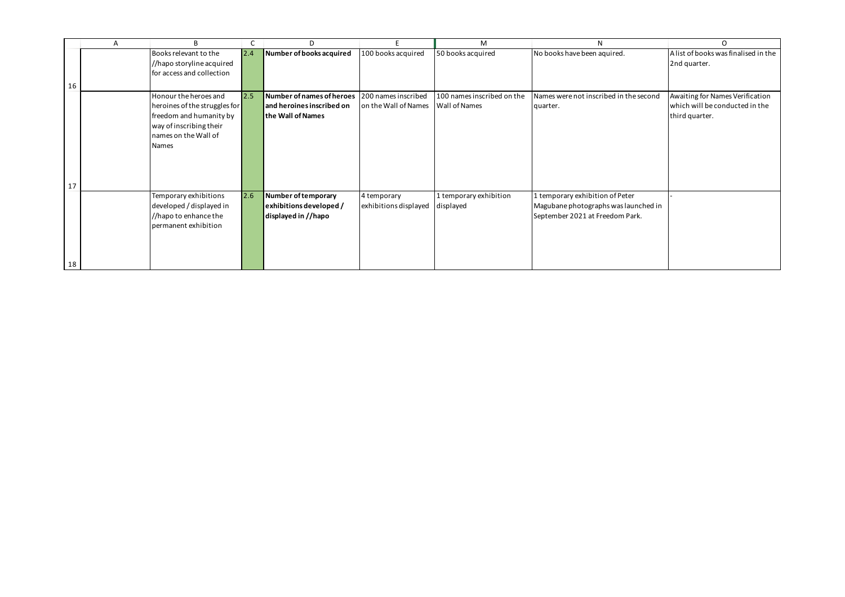|    | Α | B                             |     | D                         |                       | M                          | N                                      |                                      |
|----|---|-------------------------------|-----|---------------------------|-----------------------|----------------------------|----------------------------------------|--------------------------------------|
|    |   | Books relevant to the         | 2.4 | Number of books acquired  | 100 books acquired    | 50 books acquired          | No books have been aquired.            | A list of books was finalised in the |
|    |   | //hapo storyline acquired     |     |                           |                       |                            |                                        | 2nd quarter.                         |
|    |   | for access and collection     |     |                           |                       |                            |                                        |                                      |
| 16 |   |                               |     |                           |                       |                            |                                        |                                      |
|    |   | Honour the heroes and         | 2.5 | Number of names of heroes | 200 names inscribed   | 100 names inscribed on the | Names were not inscribed in the second | Awaiting for Names Verification      |
|    |   | heroines of the struggles for |     | and heroines inscribed on | on the Wall of Names  | <b>Wall of Names</b>       | quarter.                               | which will be conducted in the       |
|    |   | freedom and humanity by       |     | the Wall of Names         |                       |                            |                                        | third quarter.                       |
|    |   | way of inscribing their       |     |                           |                       |                            |                                        |                                      |
|    |   | names on the Wall of          |     |                           |                       |                            |                                        |                                      |
|    |   | Names                         |     |                           |                       |                            |                                        |                                      |
|    |   |                               |     |                           |                       |                            |                                        |                                      |
|    |   |                               |     |                           |                       |                            |                                        |                                      |
|    |   |                               |     |                           |                       |                            |                                        |                                      |
| 17 |   |                               |     |                           |                       |                            |                                        |                                      |
|    |   | Temporary exhibitions         | 2.6 | Number of temporary       | 4 temporary           | 1 temporary exhibition     | 1 temporary exhibition of Peter        |                                      |
|    |   | developed / displayed in      |     | exhibitions developed /   | exhibitions displayed | displayed                  | Magubane photographs was launched in   |                                      |
|    |   | //hapo to enhance the         |     | displayed in //hapo       |                       |                            | September 2021 at Freedom Park.        |                                      |
|    |   | permanent exhibition          |     |                           |                       |                            |                                        |                                      |
|    |   |                               |     |                           |                       |                            |                                        |                                      |
|    |   |                               |     |                           |                       |                            |                                        |                                      |
|    |   |                               |     |                           |                       |                            |                                        |                                      |
| 18 |   |                               |     |                           |                       |                            |                                        |                                      |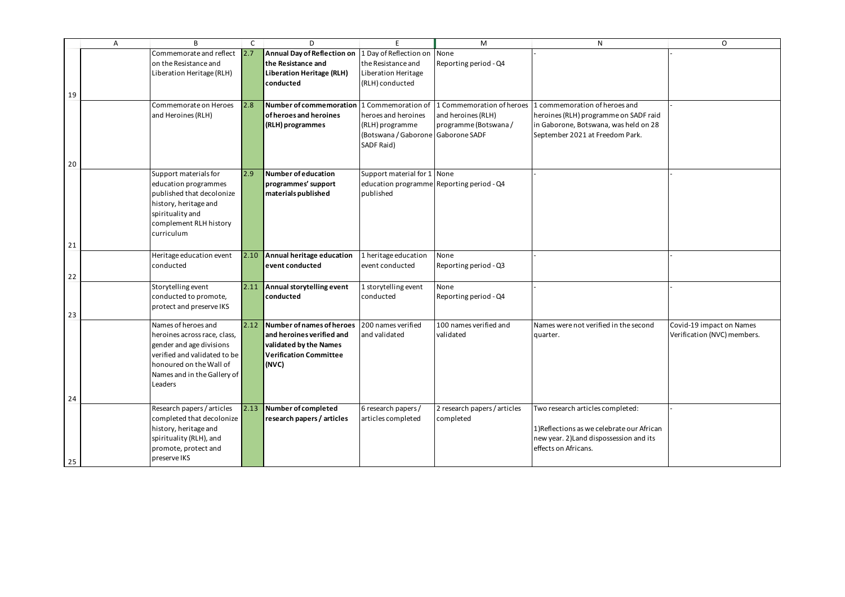| $\mathsf{N}$                                                             | O                           |
|--------------------------------------------------------------------------|-----------------------------|
|                                                                          |                             |
|                                                                          |                             |
|                                                                          |                             |
|                                                                          |                             |
| 1 commemoration of heroes and                                            |                             |
| heroines (RLH) programme on SADF raid                                    |                             |
| in Gaborone, Botswana, was held on 28<br>September 2021 at Freedom Park. |                             |
|                                                                          |                             |
|                                                                          |                             |
|                                                                          |                             |
|                                                                          |                             |
|                                                                          |                             |
|                                                                          |                             |
|                                                                          |                             |
|                                                                          |                             |
|                                                                          |                             |
|                                                                          |                             |
|                                                                          |                             |
|                                                                          |                             |
|                                                                          |                             |
|                                                                          |                             |
| Names were not verified in the second                                    | Covid-19 impact on Names    |
| quarter.                                                                 | Verification (NVC) members. |
|                                                                          |                             |
|                                                                          |                             |
|                                                                          |                             |
|                                                                          |                             |
|                                                                          |                             |
| Two research articles completed:                                         |                             |
| 1)Reflections as we celebrate our African                                |                             |
| new year. 2) Land dispossession and its                                  |                             |
| effects on Africans.                                                     |                             |
|                                                                          |                             |

|    | Α | R.                           | C    | D                                  | F                                         | M                            | N                                                                           | O                  |
|----|---|------------------------------|------|------------------------------------|-------------------------------------------|------------------------------|-----------------------------------------------------------------------------|--------------------|
|    |   | Commemorate and reflect      | 2.7  | <b>Annual Day of Reflection on</b> | 1 Day of Reflection on                    | None                         |                                                                             |                    |
|    |   | on the Resistance and        |      | the Resistance and                 | the Resistance and                        | Reporting period - Q4        |                                                                             |                    |
|    |   | Liberation Heritage (RLH)    |      | Liberation Heritage (RLH)          | Liberation Heritage                       |                              |                                                                             |                    |
|    |   |                              |      | conducted                          | (RLH) conducted                           |                              |                                                                             |                    |
| 19 |   |                              |      |                                    |                                           |                              |                                                                             |                    |
|    |   | Commemorate on Heroes        | 2.8  | <b>Number of commemoration</b>     |                                           |                              | 1 Commemoration of 11 Commemoration of heroes 1 commemoration of heroes and |                    |
|    |   | and Heroines (RLH)           |      | of heroes and heroines             | heroes and heroines                       | and heroines (RLH)           | heroines (RLH) programme on SADF raid                                       |                    |
|    |   |                              |      | (RLH) programmes                   | (RLH) programme                           | programme (Botswana /        | in Gaborone, Botswana, was held on 28                                       |                    |
|    |   |                              |      |                                    | (Botswana / Gaborone   Gaborone SADF      |                              | September 2021 at Freedom Park.                                             |                    |
|    |   |                              |      |                                    | SADF Raid)                                |                              |                                                                             |                    |
|    |   |                              |      |                                    |                                           |                              |                                                                             |                    |
| 20 |   |                              |      |                                    |                                           |                              |                                                                             |                    |
|    |   | Support materials for        | 2.9  | <b>Number of education</b>         | Support material for 1 None               |                              |                                                                             |                    |
|    |   | education programmes         |      | programmes' support                | education programme Reporting period - Q4 |                              |                                                                             |                    |
|    |   | published that decolonize    |      | materials published                | published                                 |                              |                                                                             |                    |
|    |   | history, heritage and        |      |                                    |                                           |                              |                                                                             |                    |
|    |   | spirituality and             |      |                                    |                                           |                              |                                                                             |                    |
|    |   | complement RLH history       |      |                                    |                                           |                              |                                                                             |                    |
|    |   | curriculum                   |      |                                    |                                           |                              |                                                                             |                    |
| 21 |   |                              |      |                                    |                                           |                              |                                                                             |                    |
|    |   | Heritage education event     | 2.10 | Annual heritage education          | 1 heritage education                      | None                         |                                                                             |                    |
|    |   | conducted                    |      | event conducted                    | event conducted                           | Reporting period - Q3        |                                                                             |                    |
| 22 |   |                              |      |                                    |                                           |                              |                                                                             |                    |
|    |   | Storytelling event           | 2.11 | Annual storytelling event          | 1 storytelling event                      | None                         |                                                                             |                    |
|    |   | conducted to promote,        |      | conducted                          | conducted                                 | Reporting period - Q4        |                                                                             |                    |
|    |   | protect and preserve IKS     |      |                                    |                                           |                              |                                                                             |                    |
| 23 |   |                              |      |                                    |                                           |                              |                                                                             |                    |
|    |   | Names of heroes and          | 2.12 | Number of names of heroes          | 200 names verified                        | 100 names verified and       | Names were not verified in the second                                       | Covid-19 impact o  |
|    |   | heroines across race, class, |      | and heroines verified and          | and validated                             | validated                    | quarter.                                                                    | Verification (NVC) |
|    |   | gender and age divisions     |      | validated by the Names             |                                           |                              |                                                                             |                    |
|    |   | verified and validated to be |      | <b>Verification Committee</b>      |                                           |                              |                                                                             |                    |
|    |   | honoured on the Wall of      |      | (NVC)                              |                                           |                              |                                                                             |                    |
|    |   | Names and in the Gallery of  |      |                                    |                                           |                              |                                                                             |                    |
|    |   | Leaders                      |      |                                    |                                           |                              |                                                                             |                    |
| 24 |   |                              |      |                                    |                                           |                              |                                                                             |                    |
|    |   | Research papers / articles   | 2.13 | Number of completed                | 6 research papers /                       | 2 research papers / articles | Two research articles completed:                                            |                    |
|    |   | completed that decolonize    |      | research papers / articles         | articles completed                        | completed                    |                                                                             |                    |
|    |   | history, heritage and        |      |                                    |                                           |                              | 1) Reflections as we celebrate our African                                  |                    |
|    |   | spirituality (RLH), and      |      |                                    |                                           |                              | new year. 2) Land dispossession and its                                     |                    |
|    |   | promote, protect and         |      |                                    |                                           |                              | effects on Africans.                                                        |                    |
|    |   | preserve IKS                 |      |                                    |                                           |                              |                                                                             |                    |
| 25 |   |                              |      |                                    |                                           |                              |                                                                             |                    |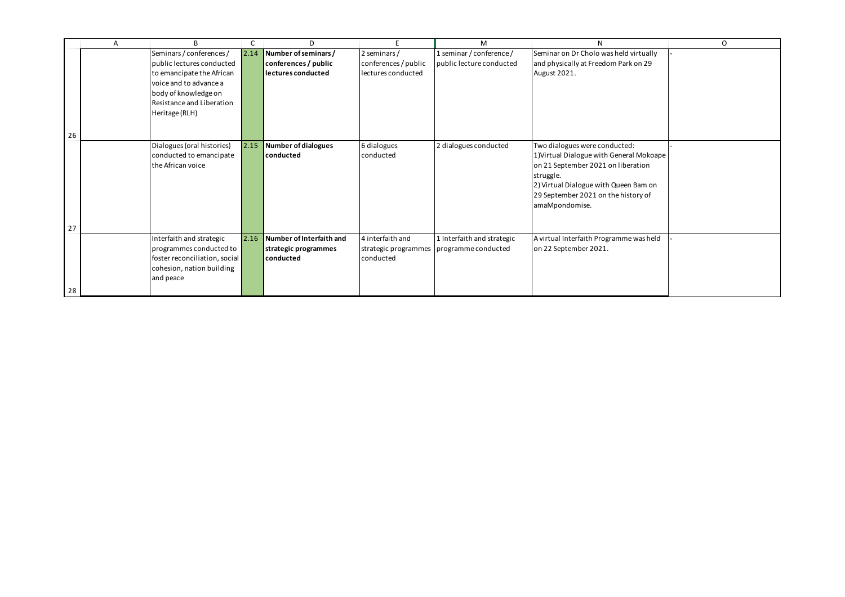|    | A | B                             |      | D                        |                      | M                                          | N.                                       | $\mathsf{O}$ |
|----|---|-------------------------------|------|--------------------------|----------------------|--------------------------------------------|------------------------------------------|--------------|
|    |   | Seminars / conferences /      | 2.14 | Number of seminars /     | 2 seminars/          | 1 seminar / conference /                   | Seminar on Dr Cholo was held virtually   |              |
|    |   | public lectures conducted     |      | conferences / public     | conferences / public | public lecture conducted                   | and physically at Freedom Park on 29     |              |
|    |   | to emancipate the African     |      | lectures conducted       | lectures conducted   |                                            | August 2021.                             |              |
|    |   | voice and to advance a        |      |                          |                      |                                            |                                          |              |
|    |   | body of knowledge on          |      |                          |                      |                                            |                                          |              |
|    |   | Resistance and Liberation     |      |                          |                      |                                            |                                          |              |
|    |   | Heritage (RLH)                |      |                          |                      |                                            |                                          |              |
|    |   |                               |      |                          |                      |                                            |                                          |              |
| 26 |   |                               |      |                          |                      |                                            |                                          |              |
|    |   | Dialogues (oral histories)    | 2.15 | Number of dialogues      | 6 dialogues          | 2 dialogues conducted                      |                                          |              |
|    |   |                               |      | conducted                |                      |                                            | Two dialogues were conducted:            |              |
|    |   | conducted to emancipate       |      |                          | conducted            |                                            | 1) Virtual Dialogue with General Mokoape |              |
|    |   | the African voice             |      |                          |                      |                                            | on 21 September 2021 on liberation       |              |
|    |   |                               |      |                          |                      |                                            | struggle.                                |              |
|    |   |                               |      |                          |                      |                                            | 2) Virtual Dialogue with Queen Bam on    |              |
|    |   |                               |      |                          |                      |                                            | 29 September 2021 on the history of      |              |
|    |   |                               |      |                          |                      |                                            | amaMpondomise.                           |              |
|    |   |                               |      |                          |                      |                                            |                                          |              |
| 27 |   |                               |      |                          |                      |                                            |                                          |              |
|    |   | Interfaith and strategic      | 2.16 | Number of Interfaith and | 4 interfaith and     | 1 Interfaith and strategic                 | A virtual Interfaith Programme was held  |              |
|    |   | programmes conducted to       |      | strategic programmes     |                      | strategic programmes   programme conducted | on 22 September 2021.                    |              |
|    |   | foster reconciliation, social |      | conducted                | conducted            |                                            |                                          |              |
|    |   | cohesion, nation building     |      |                          |                      |                                            |                                          |              |
|    |   | and peace                     |      |                          |                      |                                            |                                          |              |
|    |   |                               |      |                          |                      |                                            |                                          |              |
| 28 |   |                               |      |                          |                      |                                            |                                          |              |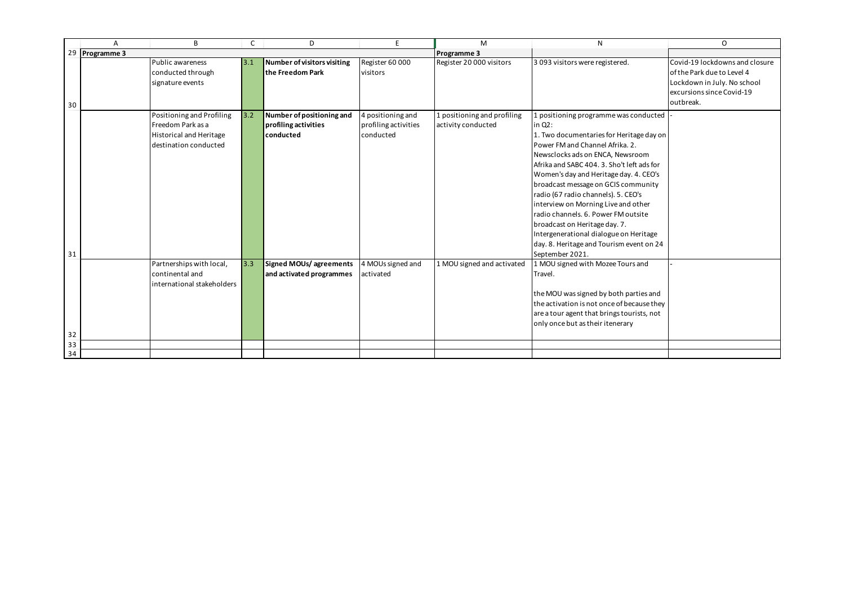|    | A              | B                                                                                                         | $\mathsf{C}$ | D                                                              | E.                                                     | M                                                 | N                                                                                                                                                                                                                                                                                                                                                                                                                                                                                                                                                | $\mathsf{O}$                                                                                                                          |
|----|----------------|-----------------------------------------------------------------------------------------------------------|--------------|----------------------------------------------------------------|--------------------------------------------------------|---------------------------------------------------|--------------------------------------------------------------------------------------------------------------------------------------------------------------------------------------------------------------------------------------------------------------------------------------------------------------------------------------------------------------------------------------------------------------------------------------------------------------------------------------------------------------------------------------------------|---------------------------------------------------------------------------------------------------------------------------------------|
|    | 29 Programme 3 |                                                                                                           |              |                                                                |                                                        | <b>Programme 3</b>                                |                                                                                                                                                                                                                                                                                                                                                                                                                                                                                                                                                  |                                                                                                                                       |
| 30 |                | Public awareness<br>conducted through<br>signature events                                                 | 3.1          | Number of visitors visiting<br>the Freedom Park                | Register 60 000<br>visitors                            | Register 20 000 visitors                          | 3 093 visitors were registered.                                                                                                                                                                                                                                                                                                                                                                                                                                                                                                                  | Covid-19 lockdowns and closure<br>of the Park due to Level 4<br>Lockdown in July. No school<br>excursions since Covid-19<br>outbreak. |
|    |                | Positioning and Profiling<br>Freedom Park as a<br><b>Historical and Heritage</b><br>destination conducted | 3.2          | Number of positioning and<br>profiling activities<br>conducted | 4 positioning and<br>profiling activities<br>conducted | 1 positioning and profiling<br>activity conducted | I positioning programme was conducted<br>in $Q2$ :<br>1. Two documentaries for Heritage day on<br>Power FM and Channel Afrika. 2.<br>Newsclocks ads on ENCA, Newsroom<br>Afrika and SABC 404. 3. Sho't left ads for<br>Women's day and Heritage day. 4. CEO's<br>broadcast message on GCIS community<br>radio (67 radio channels). 5. CEO's<br>interview on Morning Live and other<br>radio channels. 6. Power FM outsite<br>broadcast on Heritage day. 7.<br>Intergenerational dialogue on Heritage<br>day. 8. Heritage and Tourism event on 24 |                                                                                                                                       |
| 31 |                | Partnerships with local,<br>continental and<br>international stakeholders                                 | 3.3          | Signed MOUs/agreements<br>and activated programmes             | 4 MOUs signed and<br>activated                         | 1 MOU signed and activated                        | September 2021.<br>1 MOU signed with Mozee Tours and<br>Travel.<br>the MOU was signed by both parties and<br>the activation is not once of because they<br>are a tour agent that brings tourists, not<br>only once but as their itenerary                                                                                                                                                                                                                                                                                                        |                                                                                                                                       |
| 32 |                |                                                                                                           |              |                                                                |                                                        |                                                   |                                                                                                                                                                                                                                                                                                                                                                                                                                                                                                                                                  |                                                                                                                                       |
| 33 |                |                                                                                                           |              |                                                                |                                                        |                                                   |                                                                                                                                                                                                                                                                                                                                                                                                                                                                                                                                                  |                                                                                                                                       |
| 34 |                |                                                                                                           |              |                                                                |                                                        |                                                   |                                                                                                                                                                                                                                                                                                                                                                                                                                                                                                                                                  |                                                                                                                                       |

|                                                                                                                                                                 | 0                                                                                                                                     |
|-----------------------------------------------------------------------------------------------------------------------------------------------------------------|---------------------------------------------------------------------------------------------------------------------------------------|
|                                                                                                                                                                 |                                                                                                                                       |
| ed.                                                                                                                                                             | Covid-19 lockdowns and closure<br>of the Park due to Level 4<br>Lockdown in July. No school<br>excursions since Covid-19<br>outbreak. |
| vas conducted                                                                                                                                                   |                                                                                                                                       |
| leritage day on<br>ka. 2.<br>ewsroom<br>'t left ads for<br>day. 4. CEO's<br>community<br>. CEO's<br>and other<br>Moutsite<br>7.<br>on Heritage<br>m event on 24 |                                                                                                                                       |
| ours and                                                                                                                                                        |                                                                                                                                       |
| h parties and<br>f because they<br>tourists, not<br>rary                                                                                                        |                                                                                                                                       |
|                                                                                                                                                                 |                                                                                                                                       |
|                                                                                                                                                                 |                                                                                                                                       |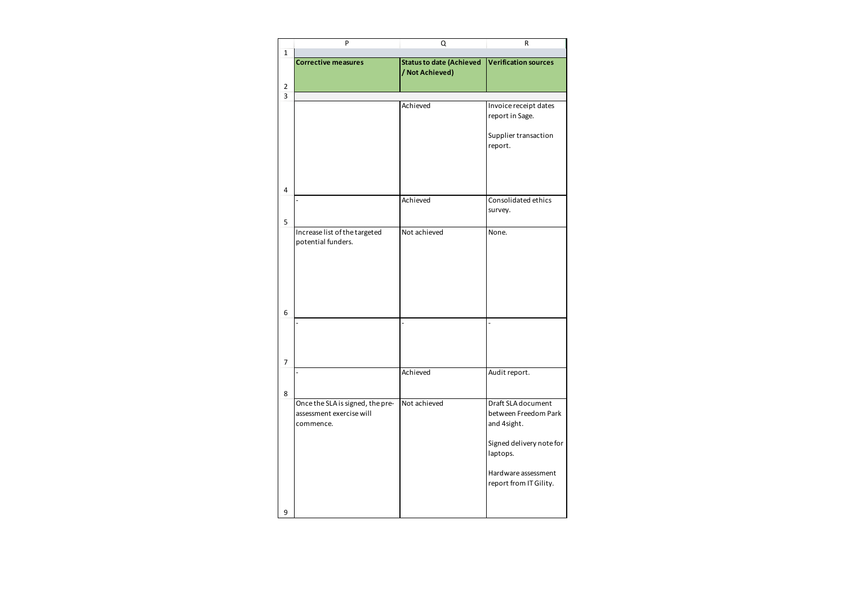|                     | P                                                                         | Q                                                  | ${\sf R}$                                                                                                                                          |
|---------------------|---------------------------------------------------------------------------|----------------------------------------------------|----------------------------------------------------------------------------------------------------------------------------------------------------|
| $\mathbf{1}$        |                                                                           |                                                    |                                                                                                                                                    |
|                     | <b>Corrective measures</b>                                                | <b>Status to date (Achieved</b><br>/ Not Achieved) | Verification sources                                                                                                                               |
|                     |                                                                           |                                                    |                                                                                                                                                    |
| $\overline{2}$<br>3 |                                                                           |                                                    |                                                                                                                                                    |
|                     |                                                                           | Achieved                                           | Invoice receipt dates<br>report in Sage.                                                                                                           |
|                     |                                                                           |                                                    | Supplier transaction<br>report.                                                                                                                    |
| $\overline{4}$      |                                                                           | Achieved                                           | Consolidated ethics                                                                                                                                |
| 5                   |                                                                           |                                                    | survey.                                                                                                                                            |
|                     | Increase list of the targeted<br>potential funders.                       | Not achieved                                       | None.                                                                                                                                              |
| 6                   |                                                                           | $\overline{a}$                                     | $\overline{a}$                                                                                                                                     |
| $\overline{7}$      |                                                                           |                                                    |                                                                                                                                                    |
| 8                   |                                                                           | Achieved                                           | Audit report.                                                                                                                                      |
|                     | Once the SLA is signed, the pre-<br>assessment exercise will<br>commence. | Not achieved                                       | Draft SLA document<br>between Freedom Park<br>and 4sight.<br>Signed delivery note for<br>laptops.<br>Hardware assessment<br>report from IT Gility. |
| 9                   |                                                                           |                                                    |                                                                                                                                                    |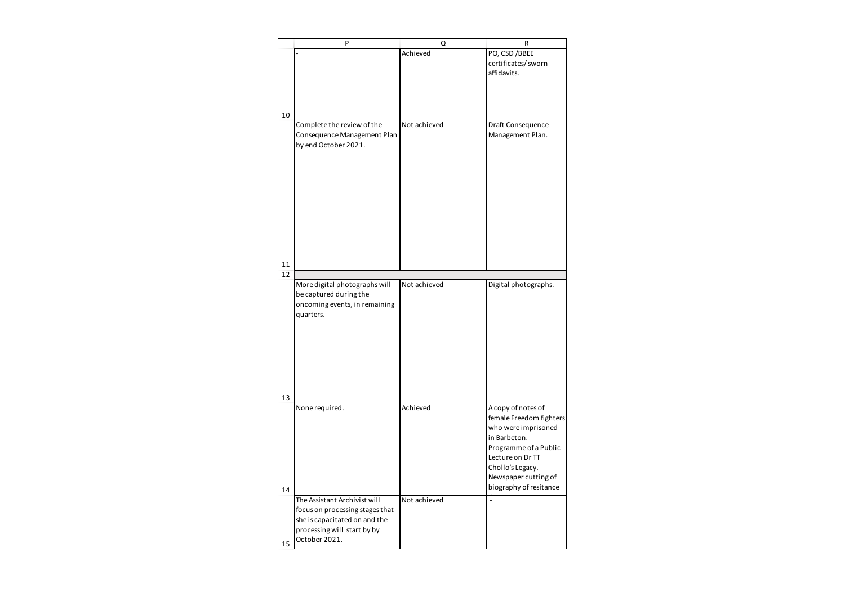|    | P                                                                                                     | Q            | R                                                                                                                                                                                                       |
|----|-------------------------------------------------------------------------------------------------------|--------------|---------------------------------------------------------------------------------------------------------------------------------------------------------------------------------------------------------|
|    |                                                                                                       | Achieved     | PO, CSD / BBEE<br>certificates/ sworn<br>affidavits.                                                                                                                                                    |
| 10 |                                                                                                       |              |                                                                                                                                                                                                         |
|    | Complete the review of the<br>Consequence Management Plan<br>by end October 2021.                     | Not achieved | Draft Consequence<br>Management Plan.                                                                                                                                                                   |
| 11 |                                                                                                       |              |                                                                                                                                                                                                         |
| 12 |                                                                                                       |              |                                                                                                                                                                                                         |
|    | More digital photographs will<br>be captured during the<br>oncoming events, in remaining<br>quarters. | Not achieved | Digital photographs.                                                                                                                                                                                    |
| 13 |                                                                                                       |              |                                                                                                                                                                                                         |
| 14 | None required.                                                                                        | Achieved     | A copy of notes of<br>female Freedom fighters<br>who were imprisoned<br>in Barbeton.<br>Programme of a Public<br>Lecture on Dr TT<br>Chollo's Legacy.<br>Newspaper cutting of<br>biography of resitance |
|    | The Assistant Archivist will                                                                          | Not achieved |                                                                                                                                                                                                         |
|    | focus on processing stages that<br>she is capacitated on and the                                      |              |                                                                                                                                                                                                         |
|    | processing will start by by                                                                           |              |                                                                                                                                                                                                         |
| 15 | October 2021.                                                                                         |              |                                                                                                                                                                                                         |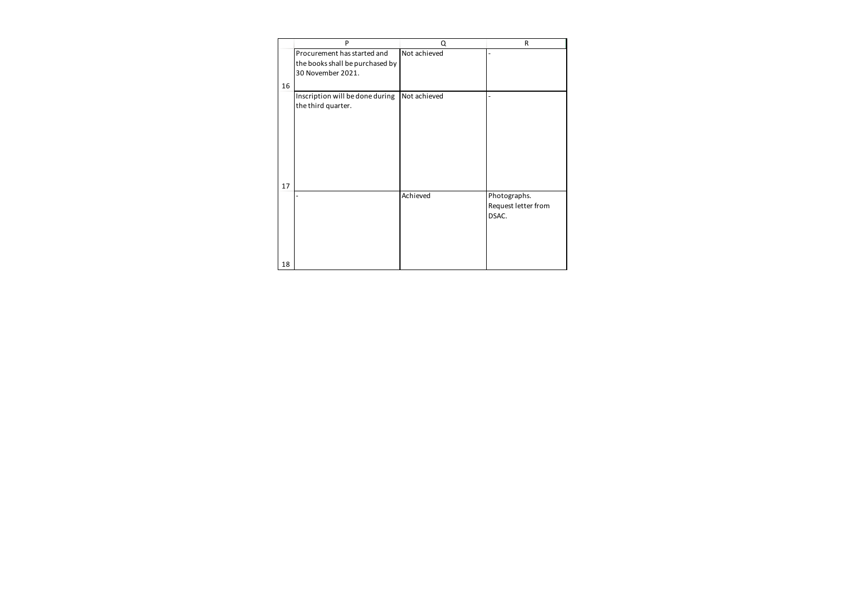|    | P                                                     | $\Omega$     | R                                            |
|----|-------------------------------------------------------|--------------|----------------------------------------------|
|    | Procurement has started and                           | Not achieved |                                              |
|    | the books shall be purchased by                       |              |                                              |
|    | 30 November 2021.                                     |              |                                              |
| 16 |                                                       |              |                                              |
|    | Inscription will be done during<br>the third quarter. | Not achieved |                                              |
|    |                                                       |              |                                              |
|    |                                                       |              |                                              |
| 17 |                                                       |              |                                              |
|    |                                                       | Achieved     | Photographs.<br>Request letter from<br>DSAC. |
| 18 |                                                       |              |                                              |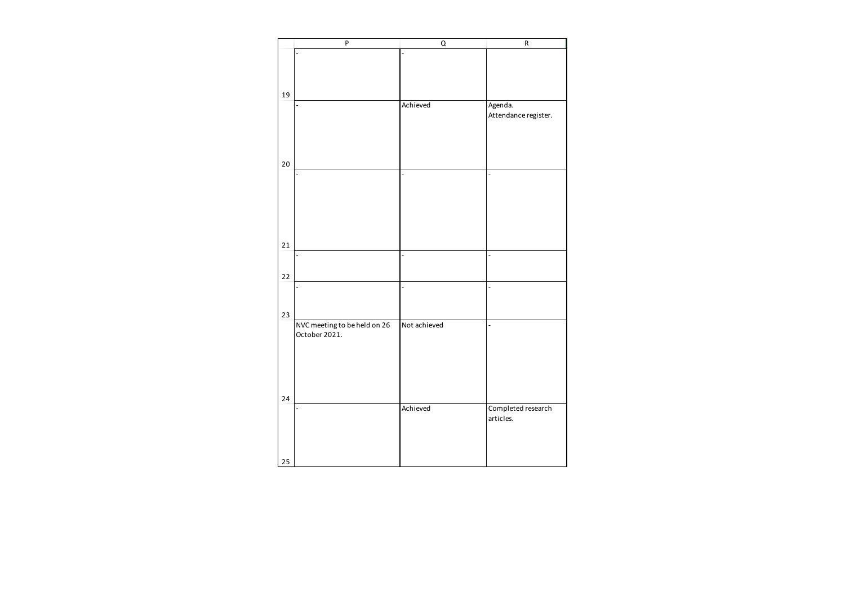|        | ${\sf P}$                    | $\mathsf Q$              | ${\sf R}$            |
|--------|------------------------------|--------------------------|----------------------|
|        |                              |                          |                      |
|        |                              |                          |                      |
|        |                              |                          |                      |
| 19     |                              |                          |                      |
|        | $\overline{a}$               | Achieved                 | Agenda.              |
|        |                              |                          | Attendance register. |
|        |                              |                          |                      |
|        |                              |                          |                      |
|        |                              |                          |                      |
| $20\,$ |                              |                          |                      |
|        | $\overline{a}$               | $\overline{\phantom{m}}$ | $\frac{1}{2}$        |
|        |                              |                          |                      |
|        |                              |                          |                      |
|        |                              |                          |                      |
|        |                              |                          |                      |
|        |                              |                          |                      |
| 21     |                              |                          |                      |
|        |                              |                          |                      |
|        |                              |                          |                      |
| 22     |                              |                          |                      |
|        | $\overline{a}$               | $\overline{a}$           | $\blacksquare$       |
|        |                              |                          |                      |
| 23     |                              |                          |                      |
|        | NVC meeting to be held on 26 | Not achieved             | $\qquad \qquad -$    |
|        | October 2021.                |                          |                      |
|        |                              |                          |                      |
|        |                              |                          |                      |
|        |                              |                          |                      |
|        |                              |                          |                      |
| 24     |                              |                          |                      |
|        | $\qquad \qquad \blacksquare$ | Achieved                 | Completed research   |
|        |                              |                          | articles.            |
|        |                              |                          |                      |
|        |                              |                          |                      |
| 25     |                              |                          |                      |
|        |                              |                          |                      |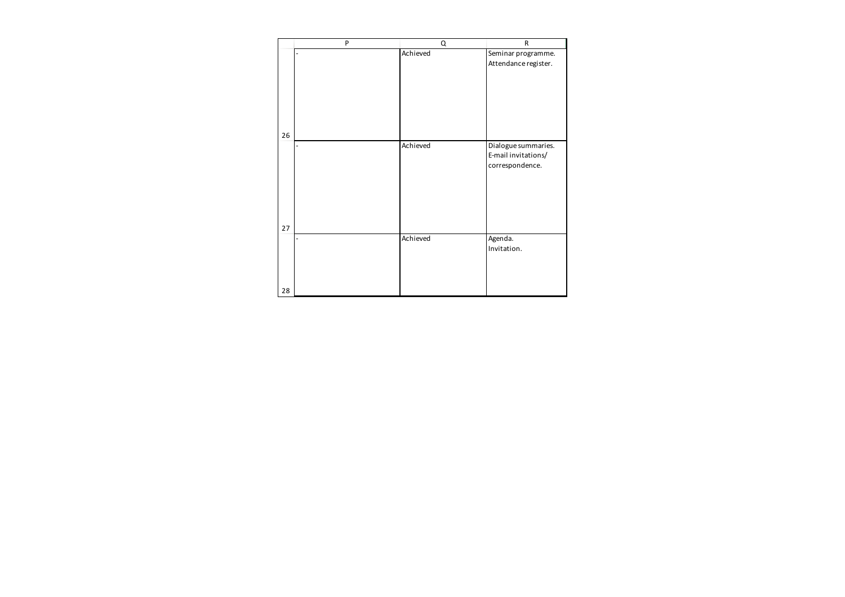|                | Achieved |                                                               |
|----------------|----------|---------------------------------------------------------------|
| 26             |          | Seminar programme.<br>Attendance register.                    |
|                | Achieved | Dialogue summaries.<br>E-mail invitations/<br>correspondence. |
| 27<br>L,<br>28 | Achieved | Agenda.<br>Invitation.                                        |